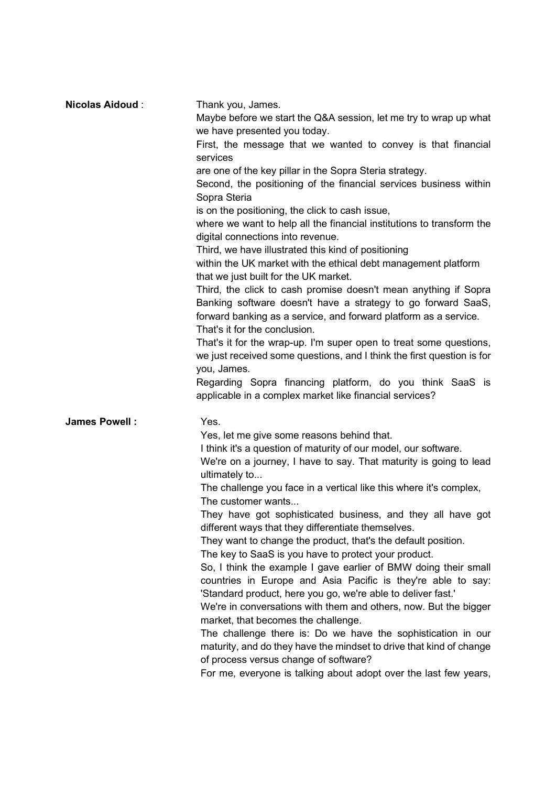| <b>Nicolas Aidoud:</b> | Thank you, James.<br>Maybe before we start the Q&A session, let me try to wrap up what                                                                                                                                                                                                                                                                                                                                                                                                                                                                                                                                                                                                                                                                                                                                                                                                                                                                                                                                                                                                                                  |
|------------------------|-------------------------------------------------------------------------------------------------------------------------------------------------------------------------------------------------------------------------------------------------------------------------------------------------------------------------------------------------------------------------------------------------------------------------------------------------------------------------------------------------------------------------------------------------------------------------------------------------------------------------------------------------------------------------------------------------------------------------------------------------------------------------------------------------------------------------------------------------------------------------------------------------------------------------------------------------------------------------------------------------------------------------------------------------------------------------------------------------------------------------|
|                        | we have presented you today.<br>First, the message that we wanted to convey is that financial<br>services                                                                                                                                                                                                                                                                                                                                                                                                                                                                                                                                                                                                                                                                                                                                                                                                                                                                                                                                                                                                               |
|                        | are one of the key pillar in the Sopra Steria strategy.<br>Second, the positioning of the financial services business within<br>Sopra Steria<br>is on the positioning, the click to cash issue,<br>where we want to help all the financial institutions to transform the<br>digital connections into revenue.<br>Third, we have illustrated this kind of positioning<br>within the UK market with the ethical debt management platform<br>that we just built for the UK market.<br>Third, the click to cash promise doesn't mean anything if Sopra<br>Banking software doesn't have a strategy to go forward SaaS,<br>forward banking as a service, and forward platform as a service.<br>That's it for the conclusion.<br>That's it for the wrap-up. I'm super open to treat some questions,<br>we just received some questions, and I think the first question is for<br>you, James.<br>Regarding Sopra financing platform, do you think SaaS is<br>applicable in a complex market like financial services?                                                                                                           |
| James Powell :         | Yes.<br>Yes, let me give some reasons behind that.<br>I think it's a question of maturity of our model, our software.<br>We're on a journey, I have to say. That maturity is going to lead<br>ultimately to<br>The challenge you face in a vertical like this where it's complex,<br>The customer wants<br>They have got sophisticated business, and they all have got<br>different ways that they differentiate themselves.<br>They want to change the product, that's the default position.<br>The key to SaaS is you have to protect your product.<br>So, I think the example I gave earlier of BMW doing their small<br>countries in Europe and Asia Pacific is they're able to say:<br>'Standard product, here you go, we're able to deliver fast.'<br>We're in conversations with them and others, now. But the bigger<br>market, that becomes the challenge.<br>The challenge there is: Do we have the sophistication in our<br>maturity, and do they have the mindset to drive that kind of change<br>of process versus change of software?<br>For me, everyone is talking about adopt over the last few years, |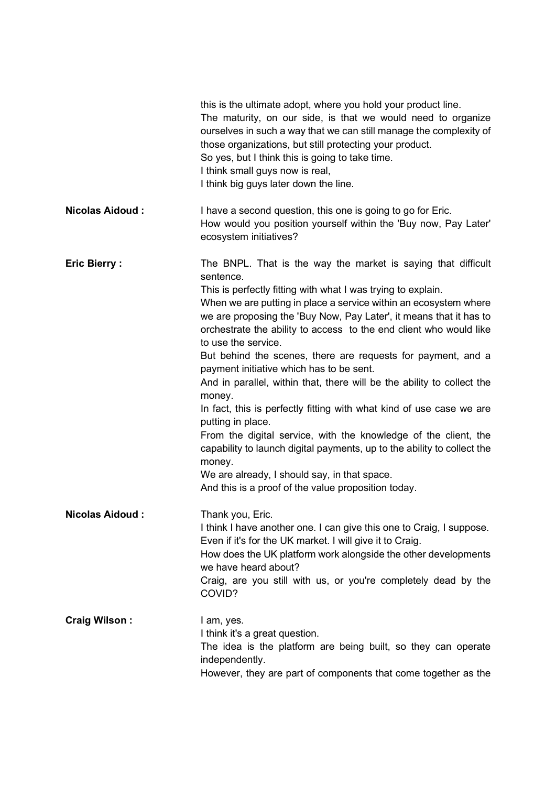|                        | this is the ultimate adopt, where you hold your product line.<br>The maturity, on our side, is that we would need to organize<br>ourselves in such a way that we can still manage the complexity of<br>those organizations, but still protecting your product.<br>So yes, but I think this is going to take time.<br>I think small guys now is real,<br>I think big guys later down the line.                                                                                                                                                                                                                                                                                                                                                                                                                                                                                                                                                 |
|------------------------|-----------------------------------------------------------------------------------------------------------------------------------------------------------------------------------------------------------------------------------------------------------------------------------------------------------------------------------------------------------------------------------------------------------------------------------------------------------------------------------------------------------------------------------------------------------------------------------------------------------------------------------------------------------------------------------------------------------------------------------------------------------------------------------------------------------------------------------------------------------------------------------------------------------------------------------------------|
| <b>Nicolas Aidoud:</b> | I have a second question, this one is going to go for Eric.<br>How would you position yourself within the 'Buy now, Pay Later'<br>ecosystem initiatives?                                                                                                                                                                                                                                                                                                                                                                                                                                                                                                                                                                                                                                                                                                                                                                                      |
| <b>Eric Bierry:</b>    | The BNPL. That is the way the market is saying that difficult<br>sentence.<br>This is perfectly fitting with what I was trying to explain.<br>When we are putting in place a service within an ecosystem where<br>we are proposing the 'Buy Now, Pay Later', it means that it has to<br>orchestrate the ability to access to the end client who would like<br>to use the service.<br>But behind the scenes, there are requests for payment, and a<br>payment initiative which has to be sent.<br>And in parallel, within that, there will be the ability to collect the<br>money.<br>In fact, this is perfectly fitting with what kind of use case we are<br>putting in place.<br>From the digital service, with the knowledge of the client, the<br>capability to launch digital payments, up to the ability to collect the<br>money.<br>We are already, I should say, in that space.<br>And this is a proof of the value proposition today. |
| <b>Nicolas Aidoud:</b> | Thank you, Eric.<br>I think I have another one. I can give this one to Craig, I suppose.<br>Even if it's for the UK market. I will give it to Craig.<br>How does the UK platform work alongside the other developments<br>we have heard about?<br>Craig, are you still with us, or you're completely dead by the<br>COVID?                                                                                                                                                                                                                                                                                                                                                                                                                                                                                                                                                                                                                    |
| <b>Craig Wilson:</b>   | I am, yes.<br>I think it's a great question.<br>The idea is the platform are being built, so they can operate<br>independently.<br>However, they are part of components that come together as the                                                                                                                                                                                                                                                                                                                                                                                                                                                                                                                                                                                                                                                                                                                                             |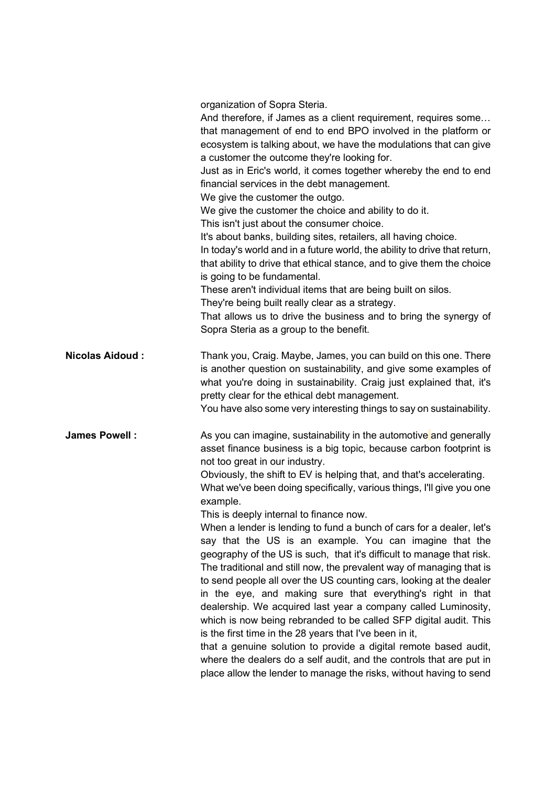organization of Sopra Steria.

And therefore, if James as a client requirement, requires some… that management of end to end BPO involved in the platform or ecosystem is talking about, we have the modulations that can give a customer the outcome they're looking for. Just as in Eric's world, it comes together whereby the end to end financial services in the debt management. We give the customer the outgo. We give the customer the choice and ability to do it. This isn't just about the consumer choice. It's about banks, building sites, retailers, all having choice. In today's world and in a future world, the ability to drive that return, that ability to drive that ethical stance, and to give them the choice is going to be fundamental. These aren't individual items that are being built on silos. They're being built really clear as a strategy. That allows us to drive the business and to bring the synergy of Sopra Steria as a group to the benefit. Nicolas Aidoud : Thank you, Craig. Maybe, James, you can build on this one. There is another question on sustainability, and give some examples of what you're doing in sustainability. Craig just explained that, it's pretty clear for the ethical debt management. You have also some very interesting things to say on sustainability. **James Powell :** As you can imagine, sustainability in the automotive and generally asset finance business is a big topic, because carbon footprint is not too great in our industry. Obviously, the shift to EV is helping that, and that's accelerating. What we've been doing specifically, various things, I'll give you one example. This is deeply internal to finance now. When a lender is lending to fund a bunch of cars for a dealer, let's say that the US is an example. You can imagine that the geography of the US is such, that it's difficult to manage that risk. The traditional and still now, the prevalent way of managing that is to send people all over the US counting cars, looking at the dealer in the eye, and making sure that everything's right in that dealership. We acquired last year a company called Luminosity, which is now being rebranded to be called SFP digital audit. This is the first time in the 28 years that I've been in it, that a genuine solution to provide a digital remote based audit, where the dealers do a self audit, and the controls that are put in place allow the lender to manage the risks, without having to send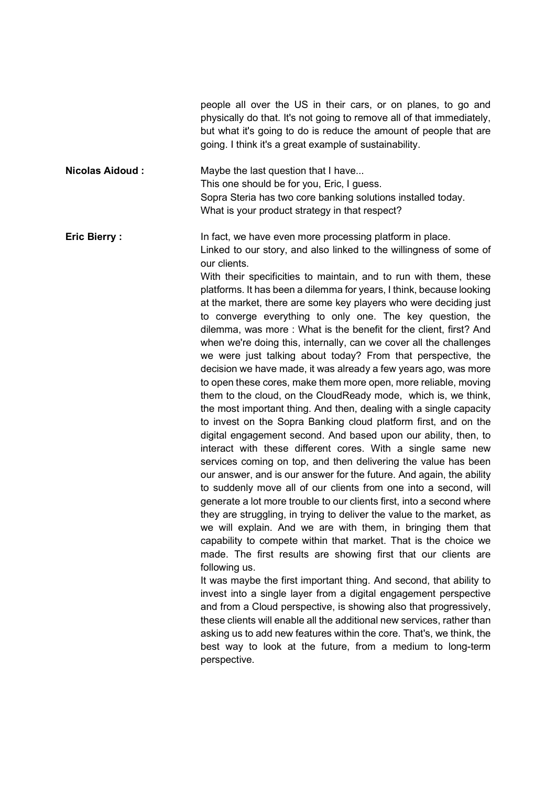people all over the US in their cars, or on planes, to go and physically do that. It's not going to remove all of that immediately, but what it's going to do is reduce the amount of people that are going. I think it's a great example of sustainability.

Nicolas Aidoud : Maybe the last question that I have... This one should be for you, Eric, I guess. Sopra Steria has two core banking solutions installed today. What is your product strategy in that respect?

**Eric Bierry :** In fact, we have even more processing platform in place. Linked to our story, and also linked to the willingness of some of our clients.

> With their specificities to maintain, and to run with them, these platforms. It has been a dilemma for years, I think, because looking at the market, there are some key players who were deciding just to converge everything to only one. The key question, the dilemma, was more : What is the benefit for the client, first? And when we're doing this, internally, can we cover all the challenges we were just talking about today? From that perspective, the decision we have made, it was already a few years ago, was more to open these cores, make them more open, more reliable, moving them to the cloud, on the CloudReady mode, which is, we think, the most important thing. And then, dealing with a single capacity to invest on the Sopra Banking cloud platform first, and on the digital engagement second. And based upon our ability, then, to interact with these different cores. With a single same new services coming on top, and then delivering the value has been our answer, and is our answer for the future. And again, the ability to suddenly move all of our clients from one into a second, will generate a lot more trouble to our clients first, into a second where they are struggling, in trying to deliver the value to the market, as we will explain. And we are with them, in bringing them that capability to compete within that market. That is the choice we made. The first results are showing first that our clients are following us.

> It was maybe the first important thing. And second, that ability to invest into a single layer from a digital engagement perspective and from a Cloud perspective, is showing also that progressively, these clients will enable all the additional new services, rather than asking us to add new features within the core. That's, we think, the best way to look at the future, from a medium to long-term perspective.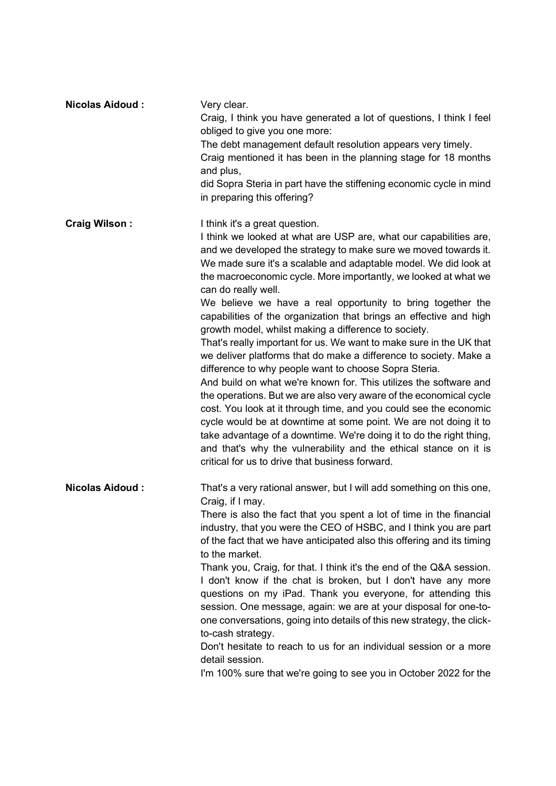| <b>Nicolas Aidoud:</b> | Very clear.<br>Craig, I think you have generated a lot of questions, I think I feel<br>obliged to give you one more:<br>The debt management default resolution appears very timely.<br>Craig mentioned it has been in the planning stage for 18 months<br>and plus,<br>did Sopra Steria in part have the stiffening economic cycle in mind<br>in preparing this offering?                                                                                                                                                                                                                                                                                                                                                                                                                                                                                                                                                                                                                                                                                                                                                                                                                                                |
|------------------------|--------------------------------------------------------------------------------------------------------------------------------------------------------------------------------------------------------------------------------------------------------------------------------------------------------------------------------------------------------------------------------------------------------------------------------------------------------------------------------------------------------------------------------------------------------------------------------------------------------------------------------------------------------------------------------------------------------------------------------------------------------------------------------------------------------------------------------------------------------------------------------------------------------------------------------------------------------------------------------------------------------------------------------------------------------------------------------------------------------------------------------------------------------------------------------------------------------------------------|
| <b>Craig Wilson:</b>   | I think it's a great question.<br>I think we looked at what are USP are, what our capabilities are,<br>and we developed the strategy to make sure we moved towards it.<br>We made sure it's a scalable and adaptable model. We did look at<br>the macroeconomic cycle. More importantly, we looked at what we<br>can do really well.<br>We believe we have a real opportunity to bring together the<br>capabilities of the organization that brings an effective and high<br>growth model, whilst making a difference to society.<br>That's really important for us. We want to make sure in the UK that<br>we deliver platforms that do make a difference to society. Make a<br>difference to why people want to choose Sopra Steria.<br>And build on what we're known for. This utilizes the software and<br>the operations. But we are also very aware of the economical cycle<br>cost. You look at it through time, and you could see the economic<br>cycle would be at downtime at some point. We are not doing it to<br>take advantage of a downtime. We're doing it to do the right thing,<br>and that's why the vulnerability and the ethical stance on it is<br>critical for us to drive that business forward. |
| <b>Nicolas Aidoud:</b> | That's a very rational answer, but I will add something on this one,<br>Craig, if I may.<br>There is also the fact that you spent a lot of time in the financial<br>industry, that you were the CEO of HSBC, and I think you are part<br>of the fact that we have anticipated also this offering and its timing<br>to the market.<br>Thank you, Craig, for that. I think it's the end of the Q&A session.<br>I don't know if the chat is broken, but I don't have any more<br>questions on my iPad. Thank you everyone, for attending this<br>session. One message, again: we are at your disposal for one-to-<br>one conversations, going into details of this new strategy, the click-<br>to-cash strategy.<br>Don't hesitate to reach to us for an individual session or a more<br>detail session.<br>I'm 100% sure that we're going to see you in October 2022 for the                                                                                                                                                                                                                                                                                                                                               |